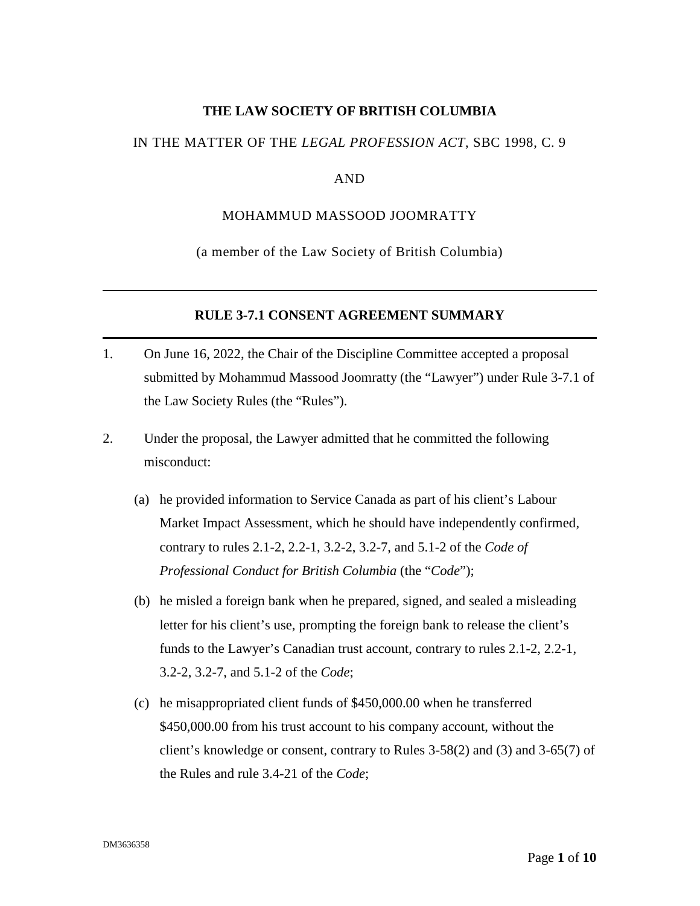#### **THE LAW SOCIETY OF BRITISH COLUMBIA**

#### IN THE MATTER OF THE *LEGAL PROFESSION ACT*, SBC 1998, C. 9

#### AND

#### MOHAMMUD MASSOOD JOOMRATTY

(a member of the Law Society of British Columbia)

#### **RULE 3-7.1 CONSENT AGREEMENT SUMMARY**

- 1. On June 16, 2022, the Chair of the Discipline Committee accepted a proposal submitted by Mohammud Massood Joomratty (the "Lawyer") under Rule 3-7.1 of the Law Society Rules (the "Rules").
- 2. Under the proposal, the Lawyer admitted that he committed the following misconduct:
	- (a) he provided information to Service Canada as part of his client's Labour Market Impact Assessment, which he should have independently confirmed, contrary to rules 2.1-2, 2.2-1, 3.2-2, 3.2-7, and 5.1-2 of the *Code of Professional Conduct for British Columbia* (the "*Code*");
	- (b) he misled a foreign bank when he prepared, signed, and sealed a misleading letter for his client's use, prompting the foreign bank to release the client's funds to the Lawyer's Canadian trust account, contrary to rules 2.1-2, 2.2-1, 3.2-2, 3.2-7, and 5.1-2 of the *Code*;
	- (c) he misappropriated client funds of \$450,000.00 when he transferred \$450,000.00 from his trust account to his company account, without the client's knowledge or consent, contrary to Rules 3-58(2) and (3) and 3-65(7) of the Rules and rule 3.4-21 of the *Code*;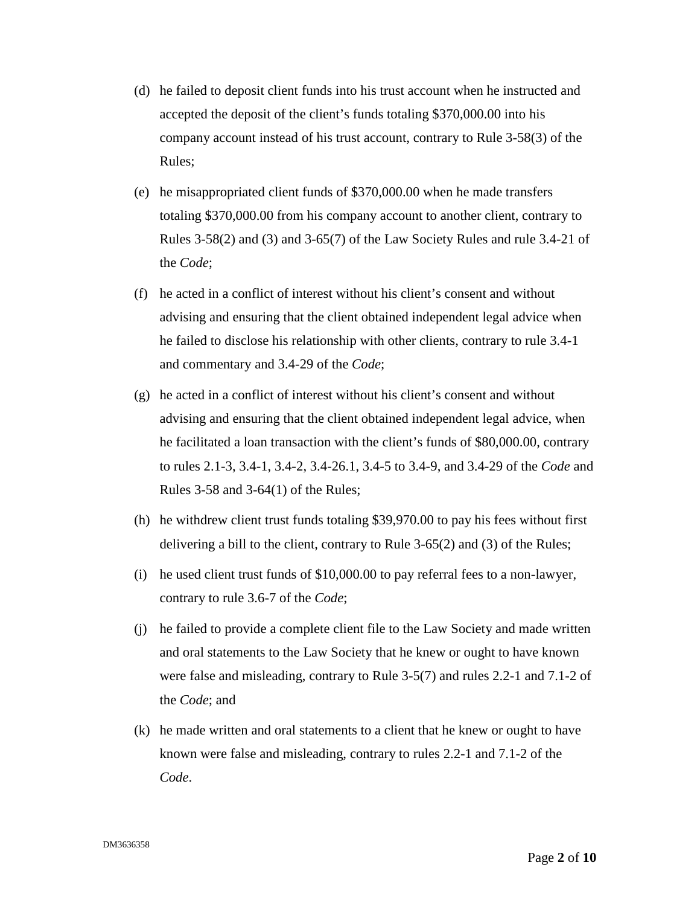- (d) he failed to deposit client funds into his trust account when he instructed and accepted the deposit of the client's funds totaling \$370,000.00 into his company account instead of his trust account, contrary to Rule 3-58(3) of the Rules;
- (e) he misappropriated client funds of \$370,000.00 when he made transfers totaling \$370,000.00 from his company account to another client, contrary to Rules 3-58(2) and (3) and 3-65(7) of the Law Society Rules and rule 3.4-21 of the *Code*;
- (f) he acted in a conflict of interest without his client's consent and without advising and ensuring that the client obtained independent legal advice when he failed to disclose his relationship with other clients, contrary to rule 3.4-1 and commentary and 3.4-29 of the *Code*;
- (g) he acted in a conflict of interest without his client's consent and without advising and ensuring that the client obtained independent legal advice, when he facilitated a loan transaction with the client's funds of \$80,000.00, contrary to rules 2.1-3, 3.4-1, 3.4-2, 3.4-26.1, 3.4-5 to 3.4-9, and 3.4-29 of the *Code* and Rules 3-58 and 3-64(1) of the Rules;
- (h) he withdrew client trust funds totaling \$39,970.00 to pay his fees without first delivering a bill to the client, contrary to Rule 3-65(2) and (3) of the Rules;
- (i) he used client trust funds of \$10,000.00 to pay referral fees to a non-lawyer, contrary to rule 3.6-7 of the *Code*;
- (j) he failed to provide a complete client file to the Law Society and made written and oral statements to the Law Society that he knew or ought to have known were false and misleading, contrary to Rule 3-5(7) and rules 2.2-1 and 7.1-2 of the *Code*; and
- (k) he made written and oral statements to a client that he knew or ought to have known were false and misleading, contrary to rules 2.2-1 and 7.1-2 of the *Code*.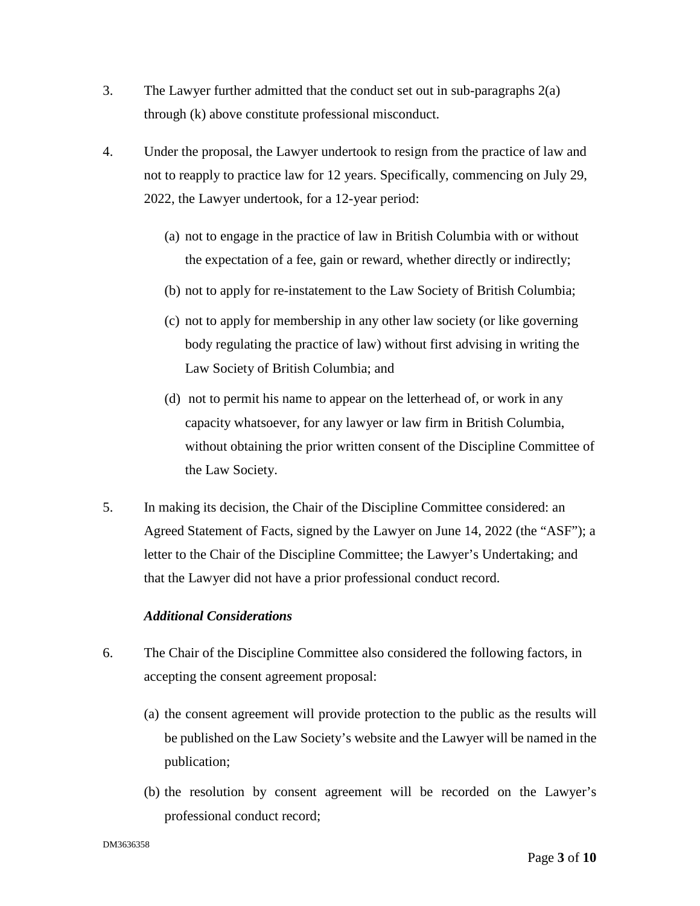- 3. The Lawyer further admitted that the conduct set out in sub-paragraphs 2(a) through (k) above constitute professional misconduct.
- 4. Under the proposal, the Lawyer undertook to resign from the practice of law and not to reapply to practice law for 12 years. Specifically, commencing on July 29, 2022, the Lawyer undertook, for a 12-year period:
	- (a) not to engage in the practice of law in British Columbia with or without the expectation of a fee, gain or reward, whether directly or indirectly;
	- (b) not to apply for re-instatement to the Law Society of British Columbia;
	- (c) not to apply for membership in any other law society (or like governing body regulating the practice of law) without first advising in writing the Law Society of British Columbia; and
	- (d) not to permit his name to appear on the letterhead of, or work in any capacity whatsoever, for any lawyer or law firm in British Columbia, without obtaining the prior written consent of the Discipline Committee of the Law Society.
- 5. In making its decision, the Chair of the Discipline Committee considered: an Agreed Statement of Facts, signed by the Lawyer on June 14, 2022 (the "ASF"); a letter to the Chair of the Discipline Committee; the Lawyer's Undertaking; and that the Lawyer did not have a prior professional conduct record.

#### *Additional Considerations*

- 6. The Chair of the Discipline Committee also considered the following factors, in accepting the consent agreement proposal:
	- (a) the consent agreement will provide protection to the public as the results will be published on the Law Society's website and the Lawyer will be named in the publication;
	- (b) the resolution by consent agreement will be recorded on the Lawyer's professional conduct record;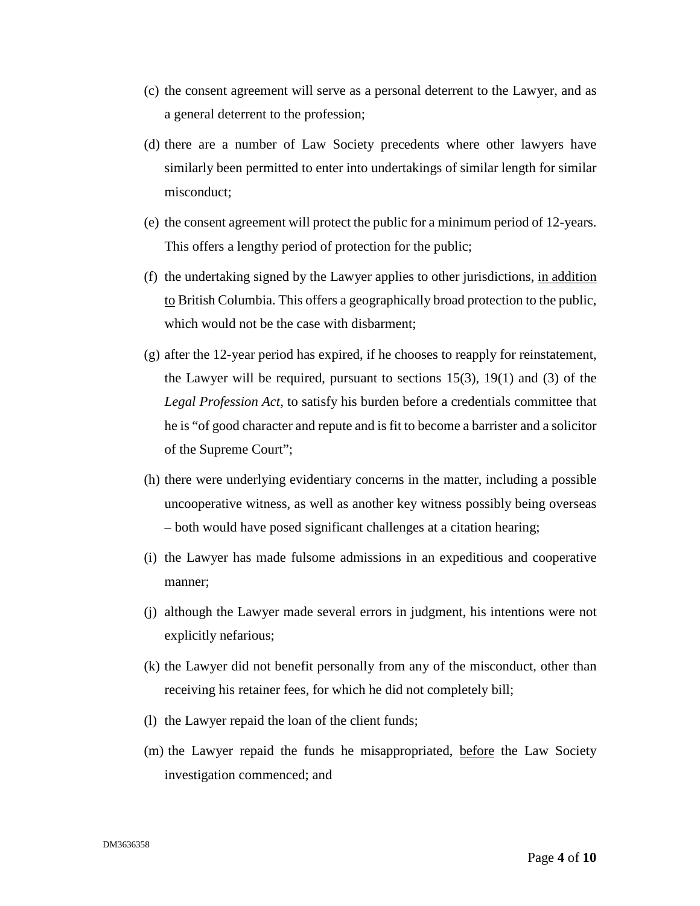- (c) the consent agreement will serve as a personal deterrent to the Lawyer, and as a general deterrent to the profession;
- (d) there are a number of Law Society precedents where other lawyers have similarly been permitted to enter into undertakings of similar length for similar misconduct;
- (e) the consent agreement will protect the public for a minimum period of 12-years. This offers a lengthy period of protection for the public;
- (f) the undertaking signed by the Lawyer applies to other jurisdictions, in addition to British Columbia. This offers a geographically broad protection to the public, which would not be the case with disbarment;
- (g) after the 12-year period has expired, if he chooses to reapply for reinstatement, the Lawyer will be required, pursuant to sections  $15(3)$ ,  $19(1)$  and  $(3)$  of the *Legal Profession Act*, to satisfy his burden before a credentials committee that he is "of good character and repute and is fit to become a barrister and a solicitor of the Supreme Court";
- (h) there were underlying evidentiary concerns in the matter, including a possible uncooperative witness, as well as another key witness possibly being overseas – both would have posed significant challenges at a citation hearing;
- (i) the Lawyer has made fulsome admissions in an expeditious and cooperative manner;
- (j) although the Lawyer made several errors in judgment, his intentions were not explicitly nefarious;
- (k) the Lawyer did not benefit personally from any of the misconduct, other than receiving his retainer fees, for which he did not completely bill;
- (l) the Lawyer repaid the loan of the client funds;
- (m) the Lawyer repaid the funds he misappropriated, before the Law Society investigation commenced; and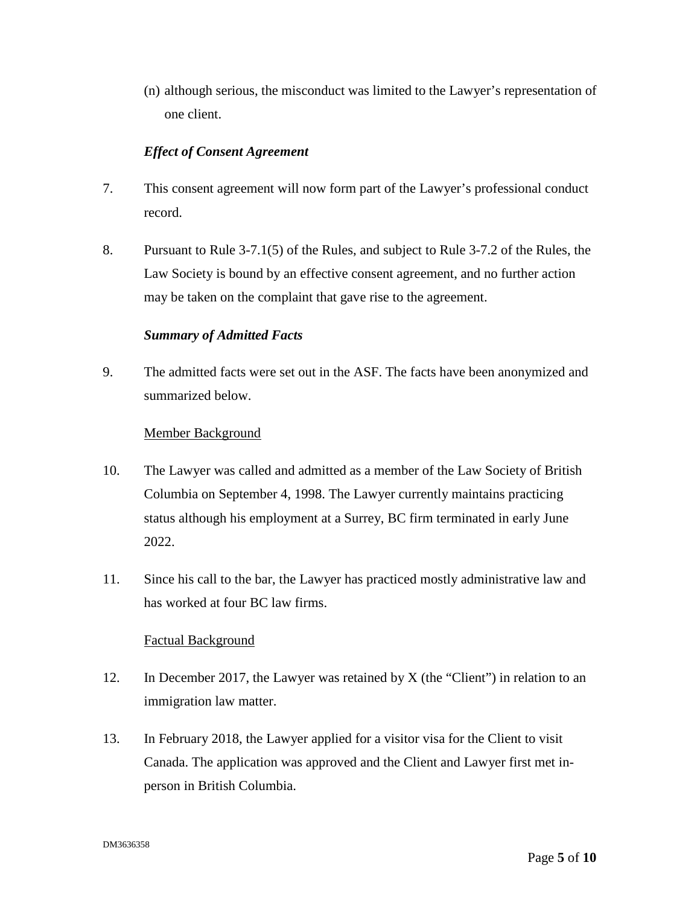(n) although serious, the misconduct was limited to the Lawyer's representation of one client.

## *Effect of Consent Agreement*

- 7. This consent agreement will now form part of the Lawyer's professional conduct record.
- 8. Pursuant to Rule 3-7.1(5) of the Rules, and subject to Rule 3-7.2 of the Rules, the Law Society is bound by an effective consent agreement, and no further action may be taken on the complaint that gave rise to the agreement.

# *Summary of Admitted Facts*

9. The admitted facts were set out in the ASF. The facts have been anonymized and summarized below.

## Member Background

- 10. The Lawyer was called and admitted as a member of the Law Society of British Columbia on September 4, 1998. The Lawyer currently maintains practicing status although his employment at a Surrey, BC firm terminated in early June 2022.
- 11. Since his call to the bar, the Lawyer has practiced mostly administrative law and has worked at four BC law firms.

#### Factual Background

- 12. In December 2017, the Lawyer was retained by X (the "Client") in relation to an immigration law matter.
- 13. In February 2018, the Lawyer applied for a visitor visa for the Client to visit Canada. The application was approved and the Client and Lawyer first met inperson in British Columbia.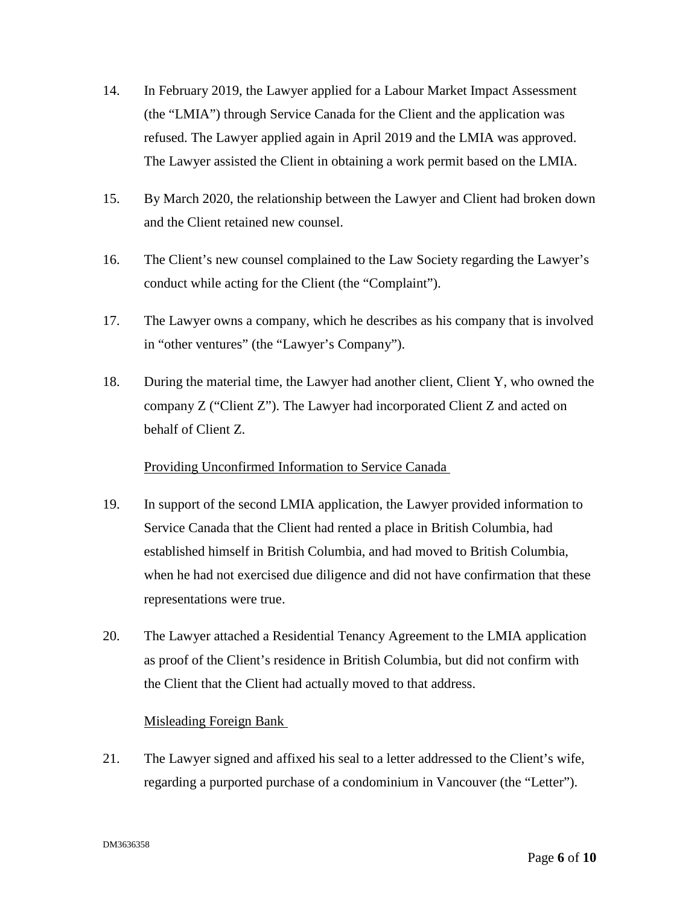- 14. In February 2019, the Lawyer applied for a Labour Market Impact Assessment (the "LMIA") through Service Canada for the Client and the application was refused. The Lawyer applied again in April 2019 and the LMIA was approved. The Lawyer assisted the Client in obtaining a work permit based on the LMIA.
- 15. By March 2020, the relationship between the Lawyer and Client had broken down and the Client retained new counsel.
- 16. The Client's new counsel complained to the Law Society regarding the Lawyer's conduct while acting for the Client (the "Complaint").
- 17. The Lawyer owns a company, which he describes as his company that is involved in "other ventures" (the "Lawyer's Company").
- 18. During the material time, the Lawyer had another client, Client Y, who owned the company Z ("Client Z"). The Lawyer had incorporated Client Z and acted on behalf of Client Z.

#### Providing Unconfirmed Information to Service Canada

- 19. In support of the second LMIA application, the Lawyer provided information to Service Canada that the Client had rented a place in British Columbia, had established himself in British Columbia, and had moved to British Columbia, when he had not exercised due diligence and did not have confirmation that these representations were true.
- 20. The Lawyer attached a Residential Tenancy Agreement to the LMIA application as proof of the Client's residence in British Columbia, but did not confirm with the Client that the Client had actually moved to that address.

# Misleading Foreign Bank

21. The Lawyer signed and affixed his seal to a letter addressed to the Client's wife, regarding a purported purchase of a condominium in Vancouver (the "Letter").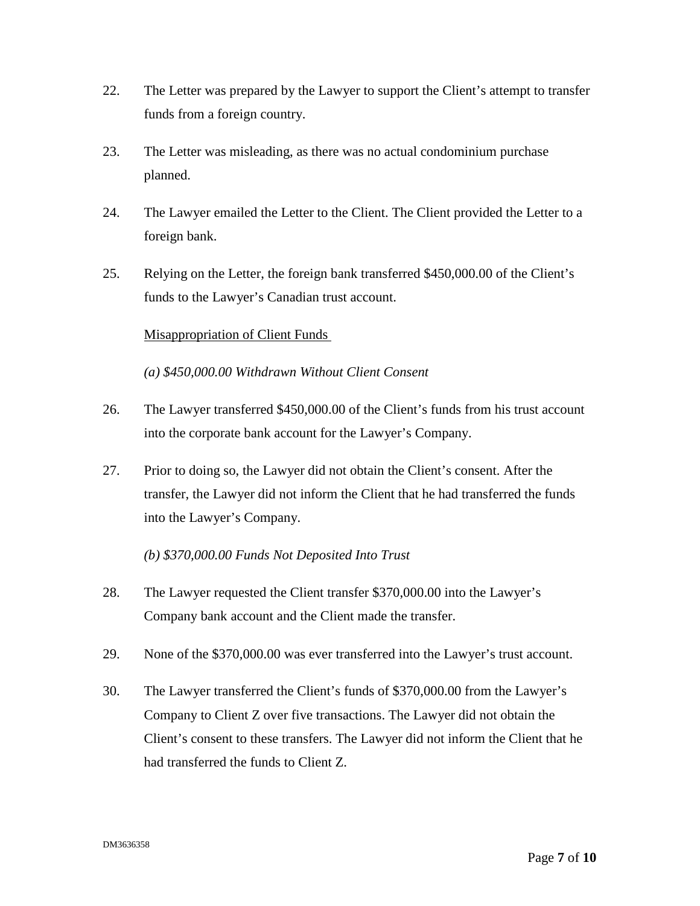- 22. The Letter was prepared by the Lawyer to support the Client's attempt to transfer funds from a foreign country.
- 23. The Letter was misleading, as there was no actual condominium purchase planned.
- 24. The Lawyer emailed the Letter to the Client. The Client provided the Letter to a foreign bank.
- 25. Relying on the Letter, the foreign bank transferred \$450,000.00 of the Client's funds to the Lawyer's Canadian trust account.

## Misappropriation of Client Funds

*(a) \$450,000.00 Withdrawn Without Client Consent* 

- 26. The Lawyer transferred \$450,000.00 of the Client's funds from his trust account into the corporate bank account for the Lawyer's Company.
- 27. Prior to doing so, the Lawyer did not obtain the Client's consent. After the transfer, the Lawyer did not inform the Client that he had transferred the funds into the Lawyer's Company.

#### *(b) \$370,000.00 Funds Not Deposited Into Trust*

- 28. The Lawyer requested the Client transfer \$370,000.00 into the Lawyer's Company bank account and the Client made the transfer.
- 29. None of the \$370,000.00 was ever transferred into the Lawyer's trust account.
- 30. The Lawyer transferred the Client's funds of \$370,000.00 from the Lawyer's Company to Client Z over five transactions. The Lawyer did not obtain the Client's consent to these transfers. The Lawyer did not inform the Client that he had transferred the funds to Client Z.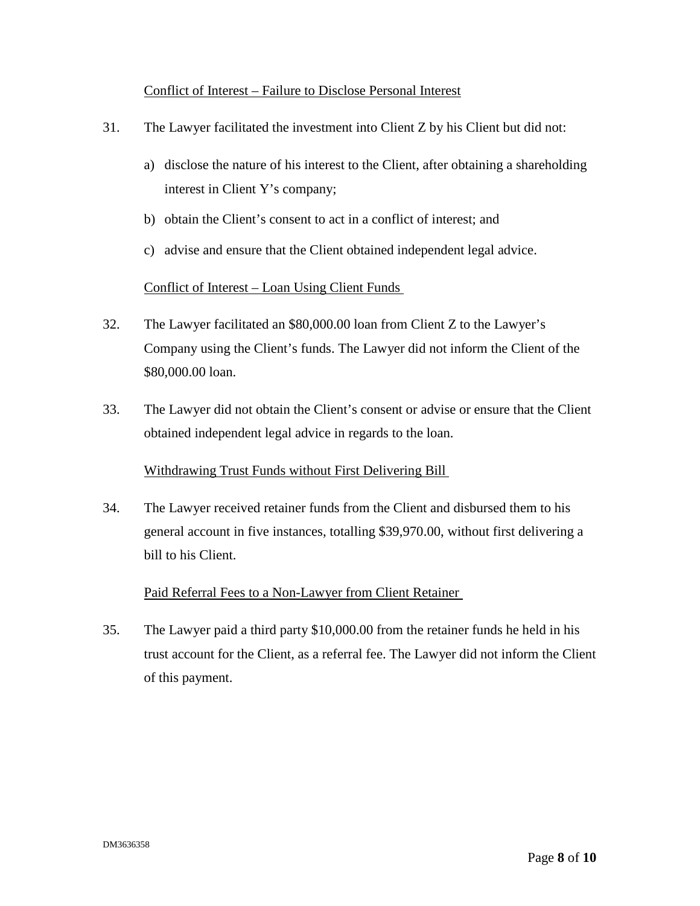## Conflict of Interest – Failure to Disclose Personal Interest

- 31. The Lawyer facilitated the investment into Client Z by his Client but did not:
	- a) disclose the nature of his interest to the Client, after obtaining a shareholding interest in Client Y's company;
	- b) obtain the Client's consent to act in a conflict of interest; and
	- c) advise and ensure that the Client obtained independent legal advice.

## Conflict of Interest – Loan Using Client Funds

- 32. The Lawyer facilitated an \$80,000.00 loan from Client Z to the Lawyer's Company using the Client's funds. The Lawyer did not inform the Client of the \$80,000.00 loan.
- 33. The Lawyer did not obtain the Client's consent or advise or ensure that the Client obtained independent legal advice in regards to the loan.

#### Withdrawing Trust Funds without First Delivering Bill

34. The Lawyer received retainer funds from the Client and disbursed them to his general account in five instances, totalling \$39,970.00, without first delivering a bill to his Client.

#### Paid Referral Fees to a Non-Lawyer from Client Retainer

35. The Lawyer paid a third party \$10,000.00 from the retainer funds he held in his trust account for the Client, as a referral fee. The Lawyer did not inform the Client of this payment.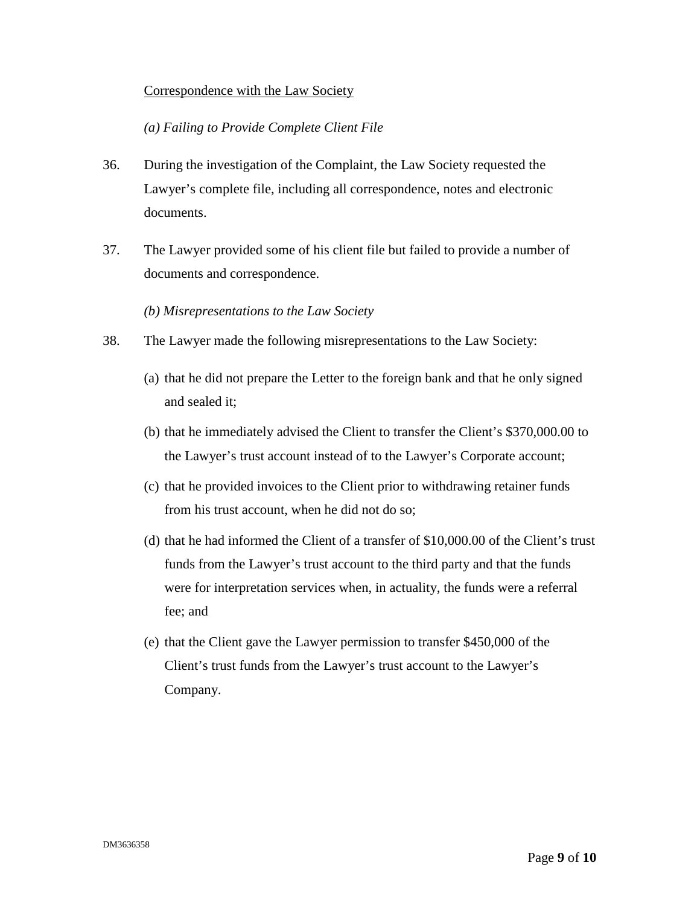## Correspondence with the Law Society

# *(a) Failing to Provide Complete Client File*

- 36. During the investigation of the Complaint, the Law Society requested the Lawyer's complete file, including all correspondence, notes and electronic documents.
- 37. The Lawyer provided some of his client file but failed to provide a number of documents and correspondence.

## *(b) Misrepresentations to the Law Society*

- 38. The Lawyer made the following misrepresentations to the Law Society:
	- (a) that he did not prepare the Letter to the foreign bank and that he only signed and sealed it;
	- (b) that he immediately advised the Client to transfer the Client's \$370,000.00 to the Lawyer's trust account instead of to the Lawyer's Corporate account;
	- (c) that he provided invoices to the Client prior to withdrawing retainer funds from his trust account, when he did not do so;
	- (d) that he had informed the Client of a transfer of \$10,000.00 of the Client's trust funds from the Lawyer's trust account to the third party and that the funds were for interpretation services when, in actuality, the funds were a referral fee; and
	- (e) that the Client gave the Lawyer permission to transfer \$450,000 of the Client's trust funds from the Lawyer's trust account to the Lawyer's Company.